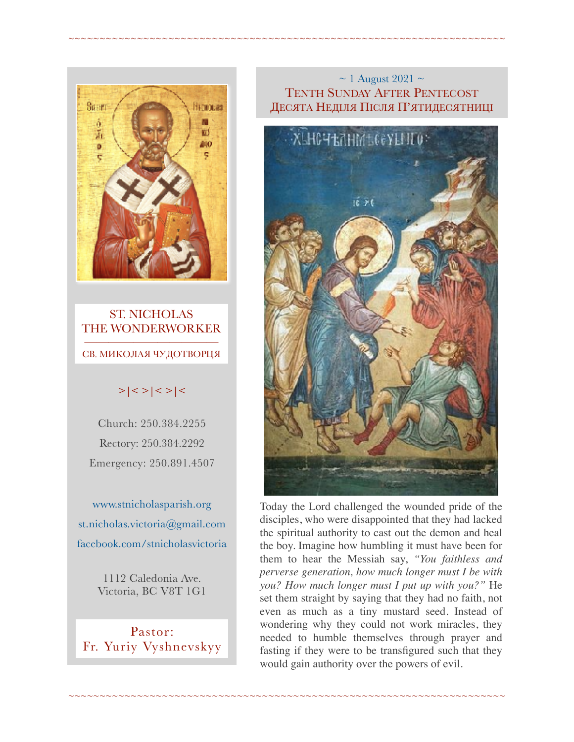

#### ST. NICHOLAS THE WONDERWORKER  $\frac{1}{\sqrt{2}}$  ,  $\frac{1}{\sqrt{2}}$  ,  $\frac{1}{\sqrt{2}}$  ,  $\frac{1}{\sqrt{2}}$  ,  $\frac{1}{\sqrt{2}}$  ,  $\frac{1}{\sqrt{2}}$  ,  $\frac{1}{\sqrt{2}}$  ,  $\frac{1}{\sqrt{2}}$  ,  $\frac{1}{\sqrt{2}}$  ,  $\frac{1}{\sqrt{2}}$  ,  $\frac{1}{\sqrt{2}}$  ,  $\frac{1}{\sqrt{2}}$  ,  $\frac{1}{\sqrt{2}}$  ,  $\frac{1}{\sqrt{2}}$  ,  $\frac{1}{\sqrt{2}}$ СВ. МИКОЛАЯ ЧУДОТВОРЦЯ

## $>|$  < >  $|$  < >  $|$  <  $>$   $|$  <  $>$   $|$  <

Church: 250.384.2255 Rectory: 250.384.2292 Emergency: 250.891.4507

[www.stnicholasparish.org](http://www.stnicholasparish.org)  [st.nicholas.victoria@gmail.com](mailto:st.nicholas.victoria@gmail.com)  [facebook.com/stnicholasvictoria](http://facebook.com/stnicholasvictoria)

> 1112 Caledonia Ave. Victoria, BC V8T 1G1

Pastor: Fr. Yuriy Vyshnevskyy

#### $\sim$  1 August 2021  $\sim$ TENTH SUNDAY AFTER PENTECOST ДЕСЯТА НЕДІЛЯ ПІСЛЯ П'ЯТИДЕСЯТНИЦІ

~~~~~~~~~~~~~~~~~~~~~~~~~~~~~~~~~~~~~~~~~~~~~~~~~~~~~~~~~~~~~~~~~~~~~~



Today the Lord challenged the wounded pride of the disciples, who were disappointed that they had lacked the spiritual authority to cast out the demon and heal the boy. Imagine how humbling it must have been for them to hear the Messiah say, *"You faithless and perverse generation, how much longer must I be with you? How much longer must I put up with you?"* He set them straight by saying that they had no faith, not even as much as a tiny mustard seed. Instead of wondering why they could not work miracles, they needed to humble themselves through prayer and fasting if they were to be transfigured such that they would gain authority over the powers of evil.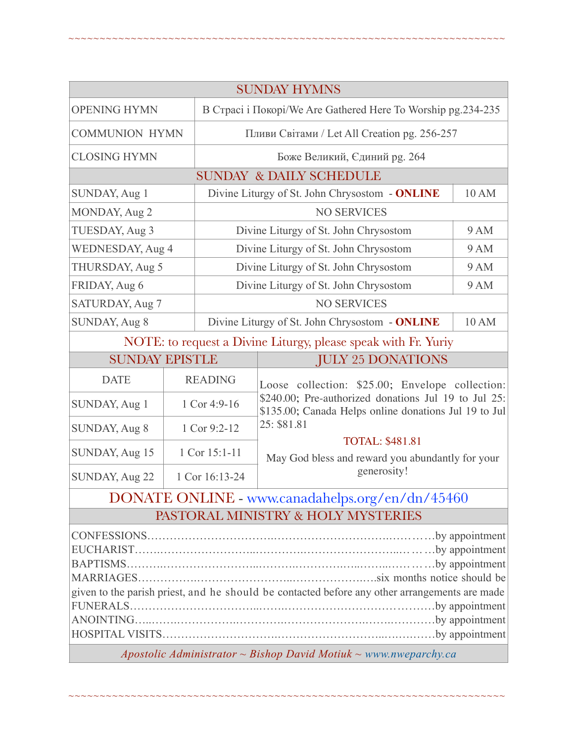| <b>SUNDAY HYMNS</b>                                            |                |                                                              |                                                                                                                                                                                                                                                               |             |  |
|----------------------------------------------------------------|----------------|--------------------------------------------------------------|---------------------------------------------------------------------------------------------------------------------------------------------------------------------------------------------------------------------------------------------------------------|-------------|--|
| <b>OPENING HYMN</b>                                            |                | В Страсі і Покорі/We Are Gathered Here To Worship pg.234-235 |                                                                                                                                                                                                                                                               |             |  |
| <b>COMMUNION HYMN</b>                                          |                | Пливи Світами / Let All Creation pg. 256-257                 |                                                                                                                                                                                                                                                               |             |  |
| <b>CLOSING HYMN</b>                                            |                | Боже Великий, Єдиний рg. 264                                 |                                                                                                                                                                                                                                                               |             |  |
| <b>SUNDAY &amp; DAILY SCHEDULE</b>                             |                |                                                              |                                                                                                                                                                                                                                                               |             |  |
| SUNDAY, Aug 1                                                  |                | Divine Liturgy of St. John Chrysostom - ONLINE               |                                                                                                                                                                                                                                                               | 10 AM       |  |
| MONDAY, Aug 2                                                  |                | <b>NO SERVICES</b>                                           |                                                                                                                                                                                                                                                               |             |  |
| TUESDAY, Aug 3                                                 |                | Divine Liturgy of St. John Chrysostom<br>9 AM                |                                                                                                                                                                                                                                                               |             |  |
| <b>WEDNESDAY, Aug 4</b>                                        |                | Divine Liturgy of St. John Chrysostom                        |                                                                                                                                                                                                                                                               | <b>9 AM</b> |  |
| THURSDAY, Aug 5                                                |                | <b>9 AM</b><br>Divine Liturgy of St. John Chrysostom         |                                                                                                                                                                                                                                                               |             |  |
| FRIDAY, Aug 6                                                  |                | Divine Liturgy of St. John Chrysostom<br><b>9 AM</b>         |                                                                                                                                                                                                                                                               |             |  |
| SATURDAY, Aug 7                                                |                | <b>NO SERVICES</b>                                           |                                                                                                                                                                                                                                                               |             |  |
| SUNDAY, Aug 8                                                  |                | Divine Liturgy of St. John Chrysostom - ONLINE<br>10 AM      |                                                                                                                                                                                                                                                               |             |  |
| NOTE: to request a Divine Liturgy, please speak with Fr. Yuriy |                |                                                              |                                                                                                                                                                                                                                                               |             |  |
| <b>SUNDAY EPISTLE</b>                                          |                |                                                              | <b>JULY 25 DONATIONS</b>                                                                                                                                                                                                                                      |             |  |
| <b>DATE</b>                                                    | <b>READING</b> |                                                              | Loose collection: \$25.00; Envelope collection:<br>\$240.00; Pre-authorized donations Jul 19 to Jul 25:<br>\$135.00; Canada Helps online donations Jul 19 to Jul<br>25: \$81.81<br><b>TOTAL: \$481.81</b><br>May God bless and reward you abundantly for your |             |  |
| SUNDAY, Aug 1                                                  | 1 Cor 4:9-16   |                                                              |                                                                                                                                                                                                                                                               |             |  |
| SUNDAY, Aug 8                                                  | 1 Cor 9:2-12   |                                                              |                                                                                                                                                                                                                                                               |             |  |
| SUNDAY, Aug 15                                                 | 1 Cor 15:1-11  |                                                              |                                                                                                                                                                                                                                                               |             |  |
| SUNDAY, Aug 22                                                 | 1 Cor 16:13-24 |                                                              | generosity!                                                                                                                                                                                                                                                   |             |  |

~~~~~~~~~~~~~~~~~~~~~~~~~~~~~~~~~~~~~~~~~~~~~~~~~~~~~~~~~~~~~~~~~~~~~~

# DONATE ONLINE - [www.canadahelps.org/en/dn/45460](http://www.canadahelps.org/en/dn/45460) PASTORAL MINISTRY & HOLY MYSTERIES

| given to the parish priest, and he should be contacted before any other arrangements are made |  |
|-----------------------------------------------------------------------------------------------|--|
|                                                                                               |  |
|                                                                                               |  |
|                                                                                               |  |

*Apostolic Administrator ~ Bishop David Motiuk ~ [www.nweparchy.ca](http://www.nweparchy.ca)*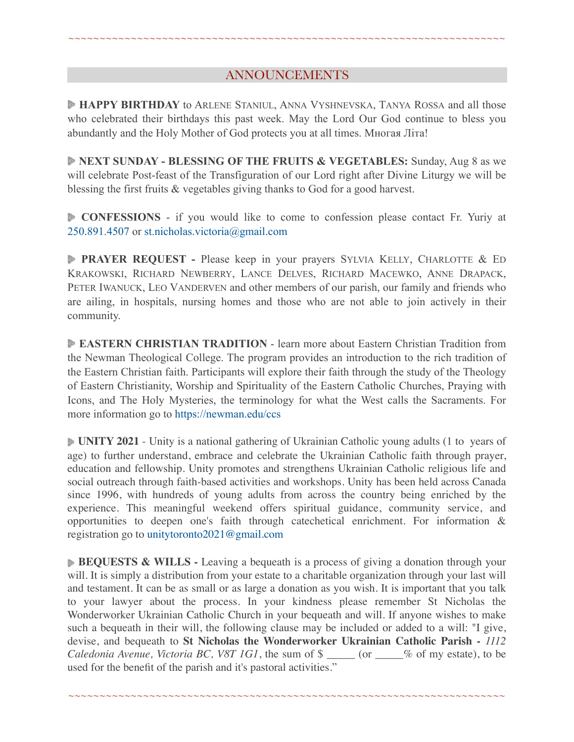## ANNOUNCEMENTS

~~~~~~~~~~~~~~~~~~~~~~~~~~~~~~~~~~~~~~~~~~~~~~~~~~~~~~~~~~~~~~~~~~~~~~

**HAPPY BIRTHDAY** to ARLENE STANIUL, ANNA VYSHNEVSKA, TANYA ROSSA and all those who celebrated their birthdays this past week. May the Lord Our God continue to bless you abundantly and the Holy Mother of God protects you at all times. Многая Літа!

**NEXT SUNDAY - BLESSING OF THE FRUITS & VEGETABLES:** Sunday, Aug 8 as we will celebrate Post-feast of the Transfiguration of our Lord right after Divine Liturgy we will be blessing the first fruits & vegetables giving thanks to God for a good harvest.

**CONFESSIONS** - if you would like to come to confession please contact Fr. Yuriy at 250.891.4507 or [st.nicholas.victoria@gmail.com](mailto:st.nicholas.victoria@gmail.com)

**PRAYER REQUEST -** Please keep in your prayers SYLVIA KELLY, CHARLOTTE & ED KRAKOWSKI, RICHARD NEWBERRY, LANCE DELVES, RICHARD MACEWKO, ANNE DRAPACK, PETER IWANUCK, LEO VANDERVEN and other members of our parish, our family and friends who are ailing, in hospitals, nursing homes and those who are not able to join actively in their community.

**EASTERN CHRISTIAN TRADITION** - learn more about Eastern Christian Tradition from the Newman Theological College. The program provides an introduction to the rich tradition of the Eastern Christian faith. Participants will explore their faith through the study of the Theology of Eastern Christianity, Worship and Spirituality of the Eastern Catholic Churches, Praying with Icons, and The Holy Mysteries, the terminology for what the West calls the Sacraments. For more information go to <https://newman.edu/ccs>

**UNITY 2021** - Unity is a national gathering of Ukrainian Catholic young adults (1 to years of age) to further understand, embrace and celebrate the Ukrainian Catholic faith through prayer, education and fellowship. Unity promotes and strengthens Ukrainian Catholic religious life and social outreach through faith-based activities and workshops. Unity has been held across Canada since 1996, with hundreds of young adults from across the country being enriched by the experience. This meaningful weekend offers spiritual guidance, community service, and opportunities to deepen one's faith through catechetical enrichment. For information & registration go to [unitytoronto2021@gmail.com](mailto:unitytoronto2021@%F4%8F%B0%A5gmail.com)

**BEQUESTS & WILLS** - Leaving a bequeath is a process of giving a donation through your will. It is simply a distribution from your estate to a charitable organization through your last will and testament. It can be as small or as large a donation as you wish. It is important that you talk to your lawyer about the process. In your kindness please remember St Nicholas the Wonderworker Ukrainian Catholic Church in your bequeath and will. If anyone wishes to make such a bequeath in their will, the following clause may be included or added to a will: "I give, devise, and bequeath to **St Nicholas the Wonderworker Ukrainian Catholic Parish -** *1112 Caledonia Avenue, Victoria BC, V8T 1G1*, the sum of  $\gamma$  \_\_\_\_\_ (or \_\_\_\_% of my estate), to be used for the benefit of the parish and it's pastoral activities."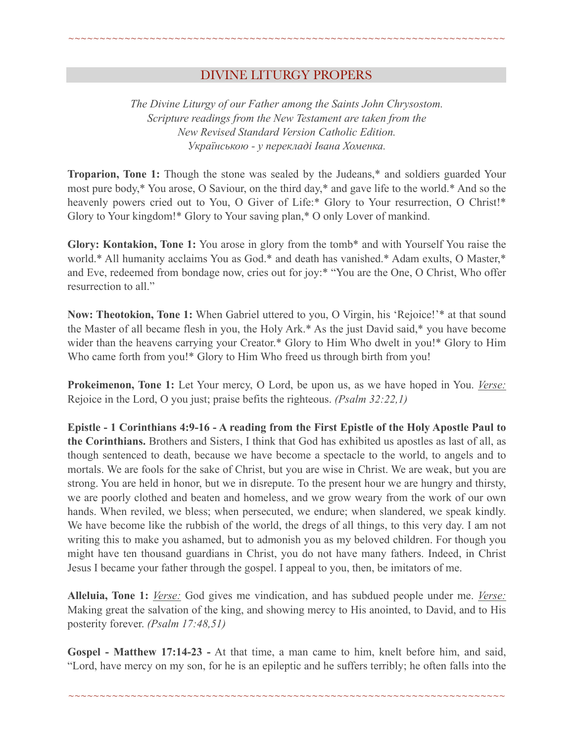## DIVINE LITURGY PROPERS

~~~~~~~~~~~~~~~~~~~~~~~~~~~~~~~~~~~~~~~~~~~~~~~~~~~~~~~~~~~~~~~~~~~~~~

*The Divine Liturgy of our Father among the Saints John Chrysostom. Scripture readings from the New Testament are taken from the New Revised Standard Version Catholic Edition. Українською - у перекладі Івана Хоменка.* 

**Troparion, Tone 1:** Though the stone was sealed by the Judeans,\* and soldiers guarded Your most pure body,\* You arose, O Saviour, on the third day,\* and gave life to the world.\* And so the heavenly powers cried out to You, O Giver of Life:\* Glory to Your resurrection, O Christ!\* Glory to Your kingdom!\* Glory to Your saving plan,\* O only Lover of mankind.

**Glory: Kontakion, Tone 1:** You arose in glory from the tomb\* and with Yourself You raise the world.\* All humanity acclaims You as God.\* and death has vanished.\* Adam exults, O Master,\* and Eve, redeemed from bondage now, cries out for joy:\* "You are the One, O Christ, Who offer resurrection to all."

**Now: Theotokion, Tone 1:** When Gabriel uttered to you, O Virgin, his 'Rejoice!'\* at that sound the Master of all became flesh in you, the Holy Ark.\* As the just David said,\* you have become wider than the heavens carrying your Creator.\* Glory to Him Who dwelt in you!\* Glory to Him Who came forth from you!\* Glory to Him Who freed us through birth from you!

**Prokeimenon, Tone 1:** Let Your mercy, O Lord, be upon us, as we have hoped in You. *Verse:* Rejoice in the Lord, O you just; praise befits the righteous. *(Psalm 32:22,1)*

**Epistle - 1 Corinthians 4:9-16 - A reading from the First Epistle of the Holy Apostle Paul to the Corinthians.** Brothers and Sisters, I think that God has exhibited us apostles as last of all, as though sentenced to death, because we have become a spectacle to the world, to angels and to mortals. We are fools for the sake of Christ, but you are wise in Christ. We are weak, but you are strong. You are held in honor, but we in disrepute. To the present hour we are hungry and thirsty, we are poorly clothed and beaten and homeless, and we grow weary from the work of our own hands. When reviled, we bless; when persecuted, we endure; when slandered, we speak kindly. We have become like the rubbish of the world, the dregs of all things, to this very day. I am not writing this to make you ashamed, but to admonish you as my beloved children. For though you might have ten thousand guardians in Christ, you do not have many fathers. Indeed, in Christ Jesus I became your father through the gospel. I appeal to you, then, be imitators of me.

**Alleluia, Tone 1:** *Verse:* God gives me vindication, and has subdued people under me. *Verse:* Making great the salvation of the king, and showing mercy to His anointed, to David, and to His posterity forever. *(Psalm 17:48,51)*

**Gospel - Matthew 17:14-23 -** At that time, a man came to him, knelt before him, and said, "Lord, have mercy on my son, for he is an epileptic and he suffers terribly; he often falls into the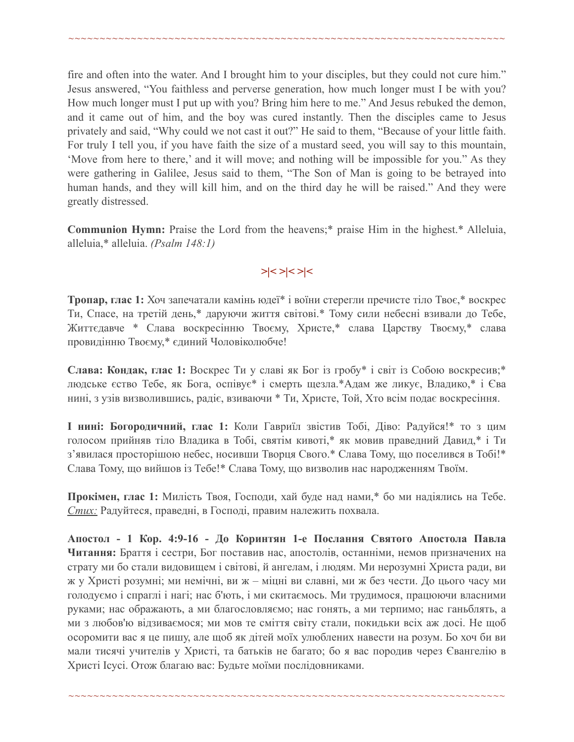fire and often into the water. And I brought him to your disciples, but they could not cure him." Jesus answered, "You faithless and perverse generation, how much longer must I be with you? How much longer must I put up with you? Bring him here to me." And Jesus rebuked the demon, and it came out of him, and the boy was cured instantly. Then the disciples came to Jesus privately and said, "Why could we not cast it out?" He said to them, "Because of your little faith. For truly I tell you, if you have faith the size of a mustard seed, you will say to this mountain, 'Move from here to there,' and it will move; and nothing will be impossible for you." As they were gathering in Galilee, Jesus said to them, "The Son of Man is going to be betrayed into human hands, and they will kill him, and on the third day he will be raised." And they were greatly distressed.

~~~~~~~~~~~~~~~~~~~~~~~~~~~~~~~~~~~~~~~~~~~~~~~~~~~~~~~~~~~~~~~~~~~~~~

**Communion Hymn:** Praise the Lord from the heavens;\* praise Him in the highest.\* Alleluia, alleluia,\* alleluia. *(Psalm 148:1)*

## *>|< >|< >|<*

**Тропар, глас 1:** Хоч запечатали камінь юдеї\* і воїни стерегли пречисте тіло Твоє,\* воскрес Ти, Спасе, на третій день,\* даруючи життя світові.\* Тому сили небесні взивали до Тебе, Життєдавче \* Слава воскресінню Твоєму, Христе,\* слава Царству Твоєму,\* слава провидінню Твоєму,\* єдиний Чоловіколюбче!

**Слава: Кондак, глас 1:** Воскрес Ти у славі як Бог із гробу\* і світ із Собою воскресив;\* людське єство Тебе, як Бога, оспівує\* і смерть щезла.\*Адам же ликує, Владико,\* і Єва нині, з узів визволившись, радіє, взиваючи \* Ти, Христе, Той, Хто всім подає воскресіння.

**І нині: Богородичний, глас 1:** Коли Гавриїл звістив Тобі, Діво: Радуйся!\* то з цим голосом прийняв тіло Владика в Тобі, святім кивоті,\* як мовив праведний Давид,\* і Ти з'явилася просторішою небес, носивши Творця Свого.\* Слава Тому, що поселився в Тобі!\* Слава Тому, що вийшов із Тебе!\* Слава Тому, що визволив нас народженням Твоїм.

**Прокімен, глас 1:** Милість Твоя, Господи, хай буде над нами,\* бо ми надіялись на Тебе. *Стих:* Радуйтеся, праведні, в Господі, правим належить похвала.

**Апостол - 1 Кор. 4:9-16 - До Коринтян 1-e Послання Святого Апостола Павла Читання:** Браття і сестри, Бог поставив нас, апостолів, останніми, немов призначених на страту ми бо стали видовищем і світові, й ангелам, і людям. Ми нерозумні Христа ради, ви ж у Христі розумні; ми немічні, ви ж – міцні ви славні, ми ж без чести. До цього часу ми голодуємо і спраглі і нагі; нас б'ють, і ми скитаємось. Ми трудимося, працюючи власними руками; нас ображають, а ми благословляємо; нас гонять, а ми терпимо; нас ганьблять, а ми з любов'ю відзиваємося; ми мов те сміття світу стали, покидьки всіх аж досі. Не щоб осоромити вас я це пишу, але щоб як дітей моїх улюблених навести на розум. Бо хоч би ви мали тисячі учителів у Христі, та батьків не багато; бо я вас породив через Євангелію в Христі Ісусі. Отож благаю вас: Будьте моїми послідовниками.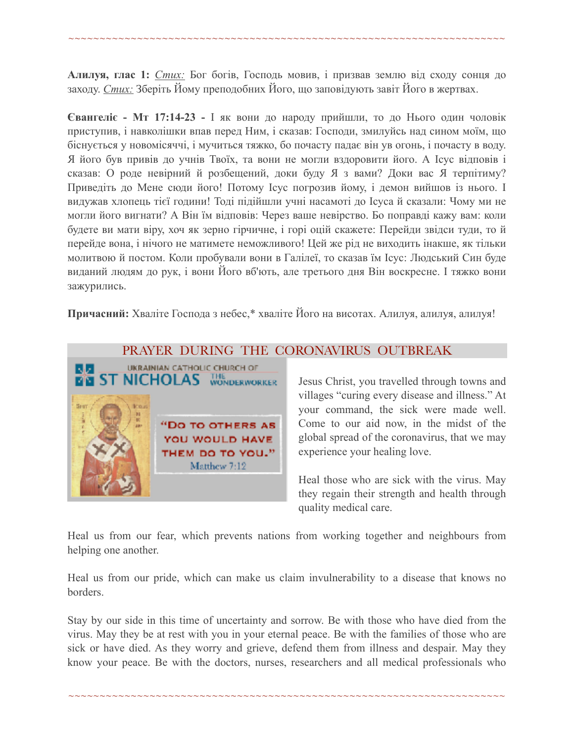**Алилуя, глас 1:** *Стих:* Бог богів, Господь мовив, і призвав землю від сходу сонця до заходу. *Стих:* Зберіть Йому преподобних Його, що заповідують завіт Його в жертвах.

~~~~~~~~~~~~~~~~~~~~~~~~~~~~~~~~~~~~~~~~~~~~~~~~~~~~~~~~~~~~~~~~~~~~~~

**Євангеліє - Мт 17:14-23 -** І як вони до народу прийшли, то до Нього один чоловік приступив, і навколішки впав перед Ним, і сказав: Господи, змилуйсь над сином моїм, що біснується у новомісяччі, і мучиться тяжко, бо почасту падає він ув огонь, і почасту в воду. Я його був привів до учнів Твоїх, та вони не могли вздоровити його. А Ісус відповів і сказав: О роде невірний й розбещений, доки буду Я з вами? Доки вас Я терпітиму? Приведіть до Мене сюди його! Потому Ісус погрозив йому, і демон вийшов із нього. І видужав хлопець тієї години! Тоді підійшли учні насамоті до Ісуса й сказали: Чому ми не могли його вигнати? А Він їм відповів: Через ваше невірство. Бо поправді кажу вам: коли будете ви мати віру, хоч як зерно гірчичне, і горі оцій скажете: Перейди звідси туди, то й перейде вона, і нічого не матимете неможливого! Цей же рід не виходить інакше, як тільки молитвою й постом. Коли пробували вони в Галілеї, то сказав їм Ісус: Людський Син буде виданий людям до рук, і вони Його вб'ють, але третього дня Він воскресне. І тяжко вони зажурились.

**Причасний:** Хваліте Господа з небес,\* хваліте Його на висотах. Алилуя, алилуя, алилуя!



#### PRAYER DURING THE CORONAVIRUS OUTBREAK

Jesus Christ, you travelled through towns and villages "curing every disease and illness." At your command, the sick were made well. Come to our aid now, in the midst of the global spread of the coronavirus, that we may experience your healing love.

Heal those who are sick with the virus. May they regain their strength and health through quality medical care.

Heal us from our fear, which prevents nations from working together and neighbours from helping one another.

Heal us from our pride, which can make us claim invulnerability to a disease that knows no borders.

Stay by our side in this time of uncertainty and sorrow. Be with those who have died from the virus. May they be at rest with you in your eternal peace. Be with the families of those who are sick or have died. As they worry and grieve, defend them from illness and despair. May they know your peace. Be with the doctors, nurses, researchers and all medical professionals who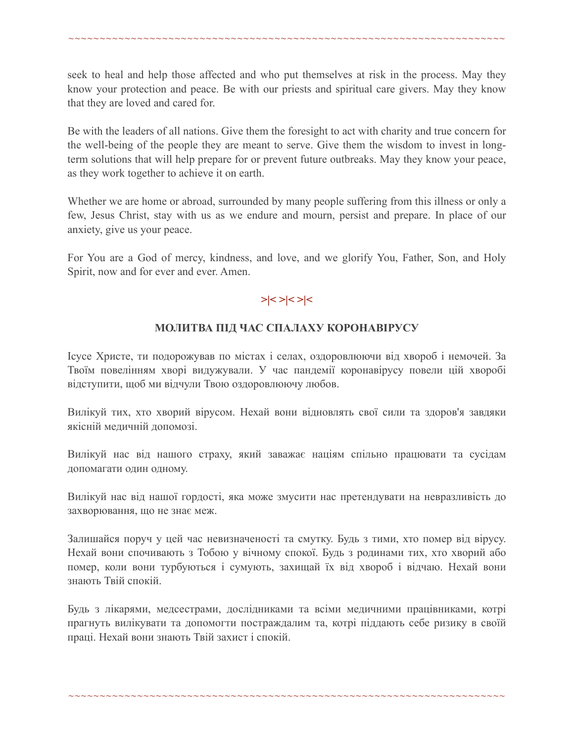seek to heal and help those affected and who put themselves at risk in the process. May they know your protection and peace. Be with our priests and spiritual care givers. May they know that they are loved and cared for.

~~~~~~~~~~~~~~~~~~~~~~~~~~~~~~~~~~~~~~~~~~~~~~~~~~~~~~~~~~~~~~~~~~~~~~

Be with the leaders of all nations. Give them the foresight to act with charity and true concern for the well-being of the people they are meant to serve. Give them the wisdom to invest in longterm solutions that will help prepare for or prevent future outbreaks. May they know your peace, as they work together to achieve it on earth.

Whether we are home or abroad, surrounded by many people suffering from this illness or only a few, Jesus Christ, stay with us as we endure and mourn, persist and prepare. In place of our anxiety, give us your peace.

For You are a God of mercy, kindness, and love, and we glorify You, Father, Son, and Holy Spirit, now and for ever and ever. Amen.

## **>|< >|< >|<**

#### **МОЛИТВА ПІД ЧАС СПАЛАХУ КОРОНАВІРУСУ**

Ісусе Христе, ти подорожував по містах і селах, оздоровлюючи від хвороб і немочей. За Твоїм повелінням хворі видужували. У час пандемії коронавірусу повели цій хворобі відступити, щоб ми відчули Твою оздоровлюючу любов.

Вилікуй тих, хто хворий вірусом. Нехай вони відновлять свої сили та здоров'я завдяки якісній медичній допомозі.

Вилікуй нас від нашого страху, який заважає націям спільно працювати та сусідам допомагати один одному.

Вилікуй нас від нашої гордості, яка може змусити нас претендувати на невразливість до захворювання, що не знає меж.

Залишайся поруч у цей час невизначеності та смутку. Будь з тими, хто помер від вірусу. Нехай вони спочивають з Тобою у вічному спокої. Будь з родинами тих, хто хворий або помер, коли вони турбуються і сумують, захищай їх від хвороб і відчаю. Нехай вони знають Твій спокій.

Будь з лікарями, медсестрами, дослідниками та всіми медичними працівниками, котрі прагнуть вилікувати та допомогти постраждалим та, котрі піддають себе ризику в своїй праці. Нехай вони знають Твій захист і спокій.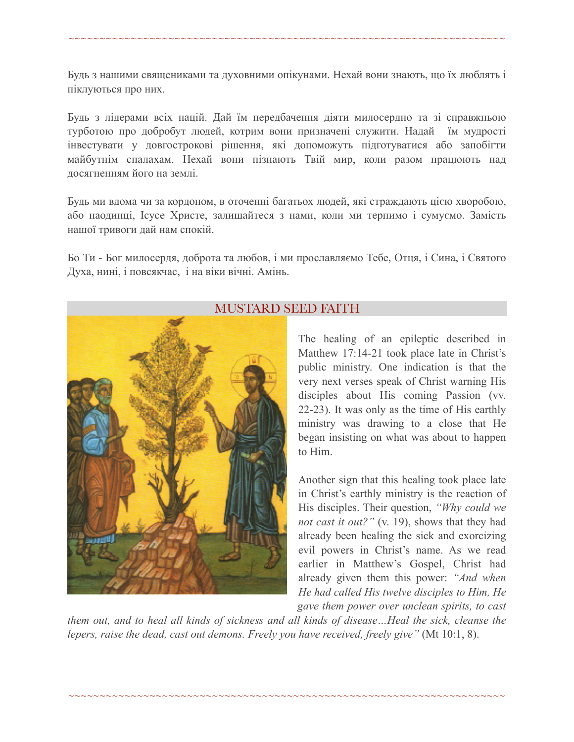Будь з нашими священиками та духовними опікунами. Нехай вони знають, що їх люблять і піклуються про них.

~~~~~~~~~~~~~~~~~~~~~~~~~~~~~~~~~~~~~~~~~~~~~~~~~~~~~~~~~~~~~~~~~~~~~~

Будь з лідерами всіх націй. Дай їм передбачення діяти милосердно та зі справжньою турботою про добробут людей, котрим вони призначені служити. Надай їм мудрості інвестувати у довгострокові рішення, які допоможуть підготуватися або запобігти майбутнім спалахам. Нехай вони пізнають Твій мир, коли разом працюють над досягненням його на землі.

Будь ми вдома чи за кордоном, в оточенні багатьох людей, які страждають цією хворобою, або наодинці, Ісусе Христе, залишайтеся з нами, коли ми терпимо і сумуємо. Замість нашої тривоги дай нам спокій.

Бо Ти - Бог милосердя, доброта та любов, і ми прославляємо Тебе, Отця, і Сина, і Святого Духа, нині, і повсякчас, і на віки вічні. Амінь.



## MUSTARD SEED FAITH

The healing of an epileptic described in Matthew 17:14-21 took place late in Christ's public ministry. One indication is that the very next verses speak of Christ warning His disciples about His coming Passion (vv. 22-23). It was only as the time of His earthly ministry was drawing to a close that He began insisting on what was about to happen to Him.

Another sign that this healing took place late in Christ's earthly ministry is the reaction of His disciples. Their question, *"Why could we not cast it out?"* (v. 19), shows that they had already been healing the sick and exorcizing evil powers in Christ's name. As we read earlier in Matthew's Gospel, Christ had already given them this power: *"And when He had called His twelve disciples to Him, He gave them power over unclean spirits, to cast* 

*them out, and to heal all kinds of sickness and all kinds of disease…Heal the sick, cleanse the lepers, raise the dead, cast out demons. Freely you have received, freely give"* (Mt 10:1, 8).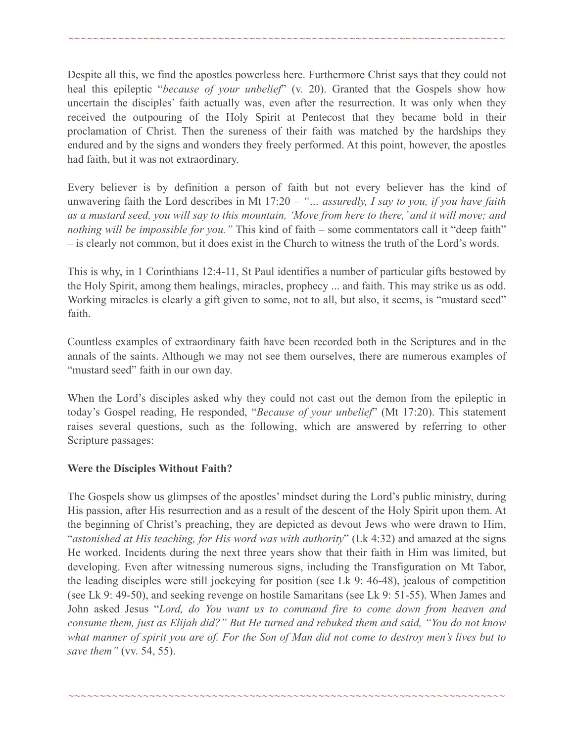Despite all this, we find the apostles powerless here. Furthermore Christ says that they could not heal this epileptic "*because of your unbelief*" (v. 20). Granted that the Gospels show how uncertain the disciples' faith actually was, even after the resurrection. It was only when they received the outpouring of the Holy Spirit at Pentecost that they became bold in their proclamation of Christ. Then the sureness of their faith was matched by the hardships they endured and by the signs and wonders they freely performed. At this point, however, the apostles had faith, but it was not extraordinary.

~~~~~~~~~~~~~~~~~~~~~~~~~~~~~~~~~~~~~~~~~~~~~~~~~~~~~~~~~~~~~~~~~~~~~~

Every believer is by definition a person of faith but not every believer has the kind of unwavering faith the Lord describes in Mt 17:20 – *"… assuredly, I say to you, if you have faith as a mustard seed, you will say to this mountain, 'Move from here to there,' and it will move; and nothing will be impossible for you."* This kind of faith – some commentators call it "deep faith" – is clearly not common, but it does exist in the Church to witness the truth of the Lord's words.

This is why, in 1 Corinthians 12:4-11, St Paul identifies a number of particular gifts bestowed by the Holy Spirit, among them healings, miracles, prophecy ... and faith. This may strike us as odd. Working miracles is clearly a gift given to some, not to all, but also, it seems, is "mustard seed" faith.

Countless examples of extraordinary faith have been recorded both in the Scriptures and in the annals of the saints. Although we may not see them ourselves, there are numerous examples of "mustard seed" faith in our own day.

When the Lord's disciples asked why they could not cast out the demon from the epileptic in today's Gospel reading, He responded, "*Because of your unbelief*" (Mt 17:20). This statement raises several questions, such as the following, which are answered by referring to other Scripture passages:

#### **Were the Disciples Without Faith?**

The Gospels show us glimpses of the apostles' mindset during the Lord's public ministry, during His passion, after His resurrection and as a result of the descent of the Holy Spirit upon them. At the beginning of Christ's preaching, they are depicted as devout Jews who were drawn to Him, "*astonished at His teaching, for His word was with authority*" (Lk 4:32) and amazed at the signs He worked. Incidents during the next three years show that their faith in Him was limited, but developing. Even after witnessing numerous signs, including the Transfiguration on Mt Tabor, the leading disciples were still jockeying for position (see Lk 9: 46-48), jealous of competition (see Lk 9: 49-50), and seeking revenge on hostile Samaritans (see Lk 9: 51-55). When James and John asked Jesus "*Lord, do You want us to command fire to come down from heaven and consume them, just as Elijah did?" But He turned and rebuked them and said, "You do not know what manner of spirit you are of. For the Son of Man did not come to destroy men's lives but to save them"* (vv. 54, 55).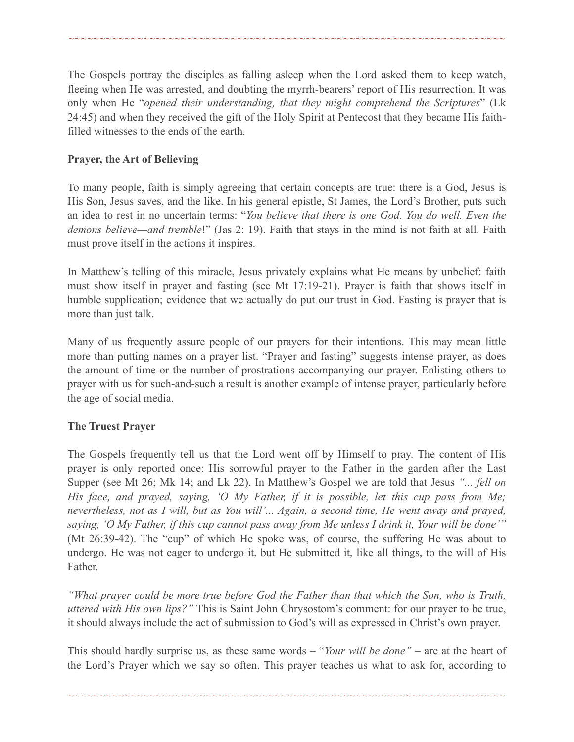The Gospels portray the disciples as falling asleep when the Lord asked them to keep watch, fleeing when He was arrested, and doubting the myrrh-bearers' report of His resurrection. It was only when He "*opened their understanding, that they might comprehend the Scriptures*" (Lk 24:45) and when they received the gift of the Holy Spirit at Pentecost that they became His faithfilled witnesses to the ends of the earth.

~~~~~~~~~~~~~~~~~~~~~~~~~~~~~~~~~~~~~~~~~~~~~~~~~~~~~~~~~~~~~~~~~~~~~~

#### **Prayer, the Art of Believing**

To many people, faith is simply agreeing that certain concepts are true: there is a God, Jesus is His Son, Jesus saves, and the like. In his general epistle, St James, the Lord's Brother, puts such an idea to rest in no uncertain terms: "*You believe that there is one God. You do well. Even the demons believe—and tremble*!" (Jas 2: 19). Faith that stays in the mind is not faith at all. Faith must prove itself in the actions it inspires.

In Matthew's telling of this miracle, Jesus privately explains what He means by unbelief: faith must show itself in prayer and fasting (see Mt 17:19-21). Prayer is faith that shows itself in humble supplication; evidence that we actually do put our trust in God. Fasting is prayer that is more than just talk.

Many of us frequently assure people of our prayers for their intentions. This may mean little more than putting names on a prayer list. "Prayer and fasting" suggests intense prayer, as does the amount of time or the number of prostrations accompanying our prayer. Enlisting others to prayer with us for such-and-such a result is another example of intense prayer, particularly before the age of social media.

## **The Truest Prayer**

The Gospels frequently tell us that the Lord went off by Himself to pray. The content of His prayer is only reported once: His sorrowful prayer to the Father in the garden after the Last Supper (see Mt 26; Mk 14; and Lk 22). In Matthew's Gospel we are told that Jesus *"... fell on His face, and prayed, saying, 'O My Father, if it is possible, let this cup pass from Me; nevertheless, not as I will, but as You will'... Again, a second time, He went away and prayed, saying, 'O My Father, if this cup cannot pass away from Me unless I drink it, Your will be done'"* (Mt 26:39-42). The "cup" of which He spoke was, of course, the suffering He was about to undergo. He was not eager to undergo it, but He submitted it, like all things, to the will of His Father.

*"What prayer could be more true before God the Father than that which the Son, who is Truth, uttered with His own lips?"* This is Saint John Chrysostom's comment: for our prayer to be true, it should always include the act of submission to God's will as expressed in Christ's own prayer.

This should hardly surprise us, as these same words – "*Your will be done"* – are at the heart of the Lord's Prayer which we say so often. This prayer teaches us what to ask for, according to